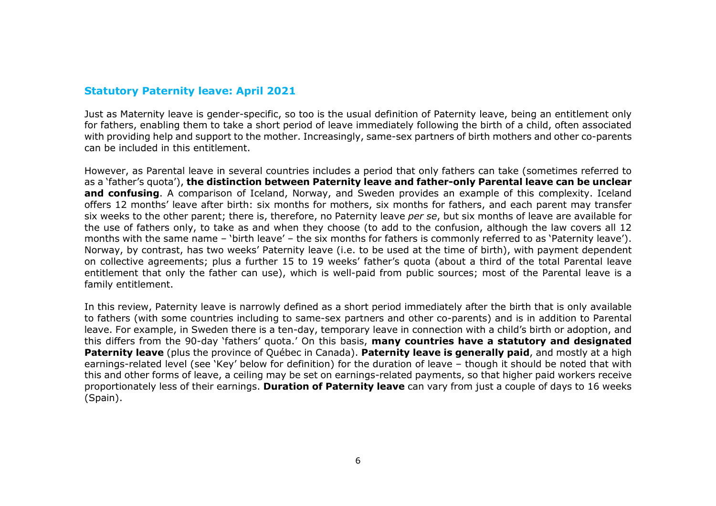## Statutory Paternity leave: April 2021

Just as Maternity leave is gender-specific, so too is the usual definition of Paternity leave, being an entitlement only for fathers, enabling them to take a short period of leave immediately following the birth of a child, often associated with providing help and support to the mother. Increasingly, same-sex partners of birth mothers and other co-parents can be included in this entitlement.

However, as Parental leave in several countries includes a period that only fathers can take (sometimes referred to as a 'father's quota'), the distinction between Paternity leave and father-only Parental leave can be unclear and confusing. A comparison of Iceland, Norway, and Sweden provides an example of this complexity. Iceland offers 12 months' leave after birth: six months for mothers, six months for fathers, and each parent may transfer six weeks to the other parent; there is, therefore, no Paternity leave per se, but six months of leave are available for the use of fathers only, to take as and when they choose (to add to the confusion, although the law covers all 12 months with the same name – 'birth leave' – the six months for fathers is commonly referred to as 'Paternity leave'). Norway, by contrast, has two weeks' Paternity leave (i.e. to be used at the time of birth), with payment dependent on collective agreements; plus a further 15 to 19 weeks' father's quota (about a third of the total Parental leave entitlement that only the father can use), which is well-paid from public sources; most of the Parental leave is a family entitlement.

In this review, Paternity leave is narrowly defined as a short period immediately after the birth that is only available to fathers (with some countries including to same-sex partners and other co-parents) and is in addition to Parental leave. For example, in Sweden there is a ten-day, temporary leave in connection with a child's birth or adoption, and this differs from the 90-day 'fathers' quota.' On this basis, many countries have a statutory and designated Paternity leave (plus the province of Québec in Canada). Paternity leave is generally paid, and mostly at a high earnings-related level (see 'Key' below for definition) for the duration of leave – though it should be noted that with this and other forms of leave, a ceiling may be set on earnings-related payments, so that higher paid workers receive proportionately less of their earnings. Duration of Paternity leave can vary from just a couple of days to 16 weeks (Spain).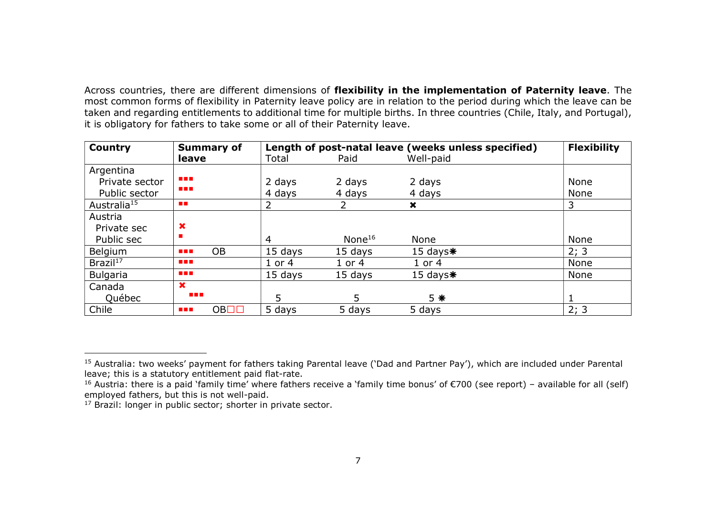Across countries, there are different dimensions of flexibility in the implementation of Paternity leave. The most common forms of flexibility in Paternity leave policy are in relation to the period during which the leave can be taken and regarding entitlements to additional time for multiple births. In three countries (Chile, Italy, and Portugal), it is obligatory for fathers to take some or all of their Paternity leave.

| <b>Country</b>          | <b>Summary of</b>              | Length of post-natal leave (weeks unless specified) |            |             | <b>Flexibility</b> |
|-------------------------|--------------------------------|-----------------------------------------------------|------------|-------------|--------------------|
|                         | leave                          | Total                                               | Paid       | Well-paid   |                    |
| Argentina               |                                |                                                     |            |             |                    |
| Private sector          | <b>STAR</b>                    | 2 days                                              | 2 days     | 2 days      | None               |
| Public sector           | <b>.</b>                       | 4 days                                              | 4 days     | 4 days      | None               |
| Australia <sup>15</sup> | <b>FILE</b>                    | 2                                                   | 2          | ×           | 3                  |
| Austria                 |                                |                                                     |            |             |                    |
| Private sec             | $\boldsymbol{\mathsf{x}}$      |                                                     |            |             |                    |
| Public sec              |                                | 4                                                   | None $16$  | None        | None               |
| <b>Belgium</b>          | <b>OB</b><br><b>The Co</b>     | 15 days                                             | 15 days    | 15 days $*$ | 2; 3               |
| Brazil <sup>17</sup>    | <b>THE R</b>                   | $1$ or $4$                                          | $1$ or $4$ | $1$ or $4$  | None               |
| <b>Bulgaria</b>         | <b>THE R</b>                   | 15 days                                             | 15 days    | 15 days $*$ | None               |
| Canada                  | $\mathbf x$                    |                                                     |            |             |                    |
| <b>Ouébec</b>           | <b>THE R</b>                   | 5                                                   | 5          | $5 *$       |                    |
| Chile                   | OB <sub>1</sub><br><b>STAR</b> | 5 days                                              | 5 days     | 5 days      | 2; 3               |

 $\overline{a}$ 

<sup>&</sup>lt;sup>15</sup> Australia: two weeks' payment for fathers taking Parental leave ('Dad and Partner Pay'), which are included under Parental leave; this is a statutory entitlement paid flat-rate.

<sup>&</sup>lt;sup>16</sup> Austria: there is a paid 'family time' where fathers receive a 'family time bonus' of €700 (see report) – available for all (self) employed fathers, but this is not well-paid.

<sup>&</sup>lt;sup>17</sup> Brazil: longer in public sector; shorter in private sector.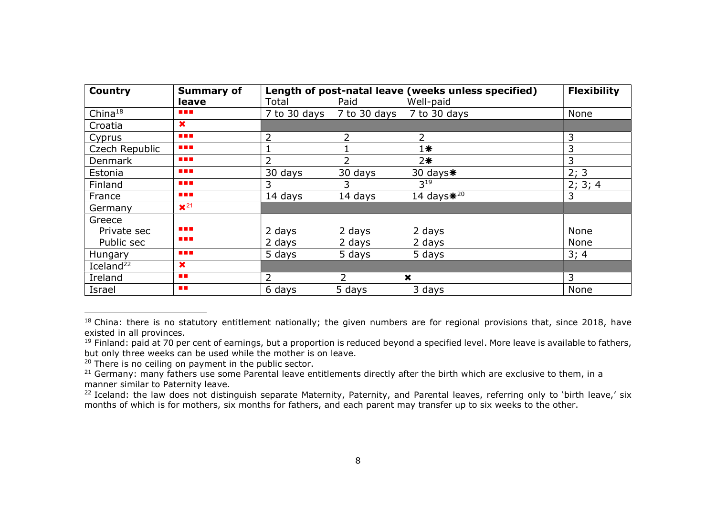| <b>Country</b>        | <b>Summary of</b>         | Length of post-natal leave (weeks unless specified) | <b>Flexibility</b> |                  |             |
|-----------------------|---------------------------|-----------------------------------------------------|--------------------|------------------|-------------|
|                       | leave                     | Total                                               | Paid               | Well-paid        |             |
| China <sup>18</sup>   | <b>.</b>                  | 7 to 30 days                                        | 7 to 30 days       | 7 to 30 days     | None        |
| Croatia               | $\boldsymbol{\mathsf{x}}$ |                                                     |                    |                  |             |
| Cyprus                | <b>.</b>                  | 2                                                   | 2                  | 2                | 3           |
| Czech Republic        | <b>.</b>                  |                                                     |                    | $1*$             | 3           |
| <b>Denmark</b>        | <b>.</b>                  | 2                                                   | $\overline{2}$     | $2*$             | 3           |
| Estonia               | <b>.</b>                  | 30 days                                             | 30 days            | 30 days $*$      | 2; 3        |
| Finland               | <b>.</b>                  | 3                                                   | 3                  | 3 <sup>19</sup>  | 2; 3; 4     |
| France                | <b>.</b>                  | 14 days                                             | 14 days            | 14 days $*^{20}$ | 3           |
| Germany               | $\mathbf{X}^{21}$         |                                                     |                    |                  |             |
| Greece                |                           |                                                     |                    |                  |             |
| Private sec           | <b>STAR</b>               | 2 days                                              | 2 days             | 2 days           | <b>None</b> |
| Public sec            | <b>.</b>                  | 2 days                                              | 2 days             | 2 days           | None        |
| Hungary               | <b>.</b>                  | 5 days                                              | 5 days             | 5 days           | 3; 4        |
| Iceland <sup>22</sup> | $\boldsymbol{\times}$     |                                                     |                    |                  |             |
| Ireland               | <b>TIME</b>               | $\overline{2}$                                      | $\overline{2}$     | ×                | 3           |
| Israel                | n n                       | 6 days                                              | 5 days             | 3 days           | None        |

<sup>18</sup> China: there is no statutory entitlement nationally; the given numbers are for regional provisions that, since 2018, have existed in all provinces.

 $\overline{a}$ 

<sup>&</sup>lt;sup>19</sup> Finland: paid at 70 per cent of earnings, but a proportion is reduced beyond a specified level. More leave is available to fathers, but only three weeks can be used while the mother is on leave.

<sup>&</sup>lt;sup>20</sup> There is no ceiling on payment in the public sector.

<sup>&</sup>lt;sup>21</sup> Germany: many fathers use some Parental leave entitlements directly after the birth which are exclusive to them, in a manner similar to Paternity leave.

<sup>&</sup>lt;sup>22</sup> Iceland: the law does not distinguish separate Maternity, Paternity, and Parental leaves, referring only to 'birth leave,' six months of which is for mothers, six months for fathers, and each parent may transfer up to six weeks to the other.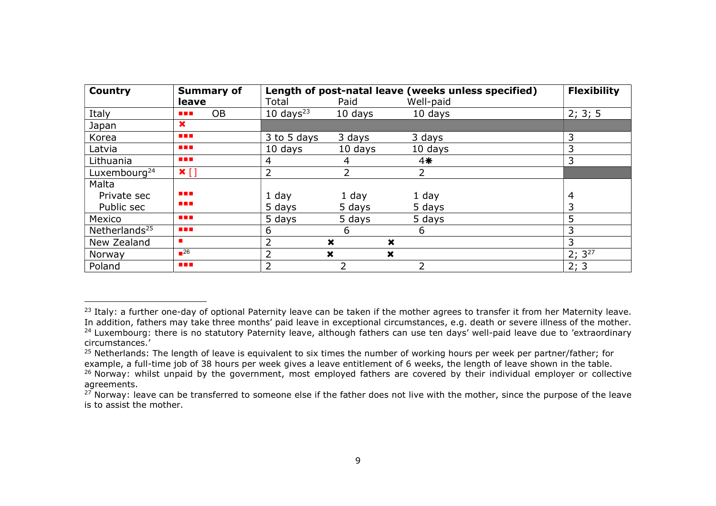| <b>Country</b>           | <b>Summary of</b>            | Length of post-natal leave (weeks unless specified) | <b>Flexibility</b>                                     |                |             |
|--------------------------|------------------------------|-----------------------------------------------------|--------------------------------------------------------|----------------|-------------|
|                          | leave                        | Total                                               | Paid                                                   | Well-paid      |             |
| Italy                    | <b>OB</b><br><b>The Co</b>   | 10 days $^{23}$                                     | 10 days                                                | 10 days        | 2; 3; 5     |
| Japan                    | $\bm{x}$                     |                                                     |                                                        |                |             |
| Korea                    | <b>THE R</b>                 | 3 to 5 days                                         | 3 days                                                 | 3 days         | 3           |
| Latvia                   | <b>.</b>                     | 10 days                                             | 10 days                                                | 10 days        | 3           |
| Lithuania                | <b>.</b>                     | 4                                                   | 4                                                      | $4*$           | 3           |
| Luxembourg <sup>24</sup> | $\mathbf{x}$ []              | 2                                                   | $\overline{2}$                                         | $\overline{2}$ |             |
| Malta                    |                              |                                                     |                                                        |                |             |
| Private sec              | <b>THE R</b>                 | 1 day                                               | 1 day                                                  | 1 day          | 4           |
| Public sec               | <b>.</b>                     | 5 days                                              | 5 days                                                 | 5 days         |             |
| Mexico                   | a a s                        | 5 days                                              | 5 days                                                 | 5 days         | 5           |
| Netherlands $25$         | <b>STAR</b>                  | 6                                                   | 6                                                      | 6              | 3           |
| New Zealand              |                              | 2                                                   | $\boldsymbol{\mathsf{x}}$<br>×                         |                | 3           |
| Norway                   | $\blacksquare$ <sup>26</sup> | $\overline{2}$                                      | $\boldsymbol{\mathsf{x}}$<br>$\boldsymbol{\mathsf{x}}$ |                | $2; 3^{27}$ |
| Poland                   | <b>.</b>                     | っ                                                   | 2                                                      | $\overline{2}$ | 2; 3        |

 $\overline{a}$ 

<sup>&</sup>lt;sup>23</sup> Italy: a further one-day of optional Paternity leave can be taken if the mother agrees to transfer it from her Maternity leave. In addition, fathers may take three months' paid leave in exceptional circumstances, e.g. death or severe illness of the mother.

<sup>&</sup>lt;sup>24</sup> Luxembourg: there is no statutory Paternity leave, although fathers can use ten days' well-paid leave due to 'extraordinary circumstances.'

<sup>&</sup>lt;sup>25</sup> Netherlands: The length of leave is equivalent to six times the number of working hours per week per partner/father; for example, a full-time job of 38 hours per week gives a leave entitlement of 6 weeks, the length of leave shown in the table. <sup>26</sup> Norway: whilst unpaid by the government, most employed fathers are covered by their individual employer or collective

agreements.

 $27$  Norway: leave can be transferred to someone else if the father does not live with the mother, since the purpose of the leave is to assist the mother.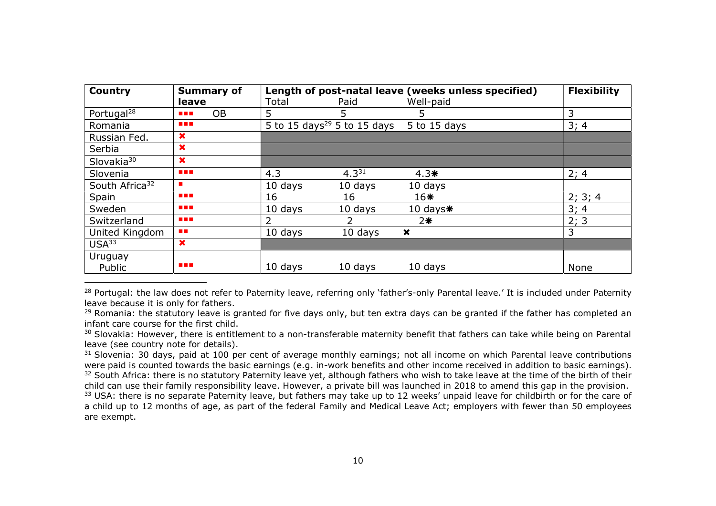| <b>Country</b>             | <b>Summary of</b>           | Length of post-natal leave (weeks unless specified) | <b>Flexibility</b>                      |                           |         |
|----------------------------|-----------------------------|-----------------------------------------------------|-----------------------------------------|---------------------------|---------|
|                            | leave                       | Total                                               | Paid                                    | Well-paid                 |         |
| Portugal <sup>28</sup>     | <b>OB</b><br>$\blacksquare$ | 5                                                   | 5                                       | 5.                        | 3       |
| Romania                    | <b>THE R</b>                |                                                     | 5 to 15 days <sup>29</sup> 5 to 15 days | 5 to 15 days              | 3; 4    |
| Russian Fed.               | $\boldsymbol{\mathsf{x}}$   |                                                     |                                         |                           |         |
| Serbia                     | $\boldsymbol{\mathsf{x}}$   |                                                     |                                         |                           |         |
| Slovakia <sup>30</sup>     | $\boldsymbol{\mathsf{x}}$   |                                                     |                                         |                           |         |
| Slovenia                   | <b>STAR</b>                 | 4.3                                                 | $4.3^{31}$                              | $4.3*$                    | 2; 4    |
| South Africa <sup>32</sup> | ш                           | 10 days                                             | 10 days                                 | 10 days                   |         |
| Spain                      | <b>.</b>                    | 16                                                  | 16                                      | $16*$                     | 2; 3; 4 |
| Sweden                     | <b>TER</b>                  | 10 days                                             | 10 days                                 | 10 days $*$               | 3; 4    |
| Switzerland                | <b>The Co</b>               |                                                     | 2                                       | $2*$                      | 2; 3    |
| United Kingdom             | <b>FILE</b>                 | 10 days                                             | 10 days                                 | $\boldsymbol{\mathsf{x}}$ | 3       |
| USA <sup>33</sup>          | $\boldsymbol{\mathsf{x}}$   |                                                     |                                         |                           |         |
| Uruguay                    |                             |                                                     |                                         |                           |         |
| Public                     | <b>THE</b>                  | 10 days                                             | 10 days                                 | 10 days                   | None    |

<sup>28</sup> Portugal: the law does not refer to Paternity leave, referring only 'father's-only Parental leave.' It is included under Paternity leave because it is only for fathers.

 $\overline{a}$ 

<sup>29</sup> Romania: the statutory leave is granted for five days only, but ten extra days can be granted if the father has completed an infant care course for the first child.

<sup>30</sup> Slovakia: However, there is entitlement to a non-transferable maternity benefit that fathers can take while being on Parental leave (see country note for details).

31 Slovenia: 30 days, paid at 100 per cent of average monthly earnings; not all income on which Parental leave contributions were paid is counted towards the basic earnings (e.g. in-work benefits and other income received in addition to basic earnings). <sup>32</sup> South Africa: there is no statutory Paternity leave yet, although fathers who wish to take leave at the time of the birth of their child can use their family responsibility leave. However, a private bill was launched in 2018 to amend this gap in the provision. <sup>33</sup> USA: there is no separate Paternity leave, but fathers may take up to 12 weeks' unpaid leave for childbirth or for the care of a child up to 12 months of age, as part of the federal Family and Medical Leave Act; employers with fewer than 50 employees are exempt.